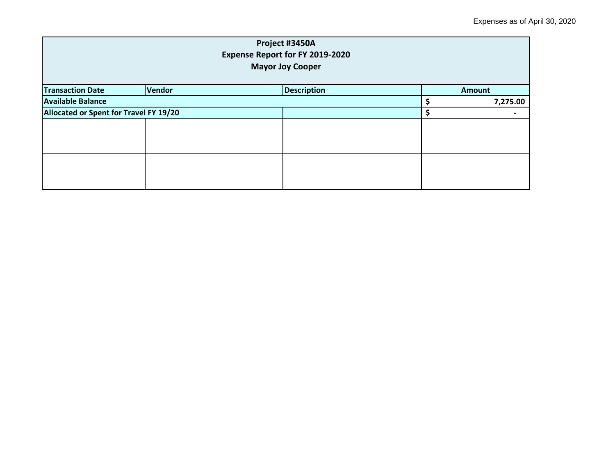| Project #3450A<br><b>Expense Report for FY 2019-2020</b><br><b>Mayor Joy Cooper</b> |                              |  |  |               |  |
|-------------------------------------------------------------------------------------|------------------------------|--|--|---------------|--|
| <b>Transaction Date</b>                                                             | Vendor<br><b>Description</b> |  |  | <b>Amount</b> |  |
| <b>Available Balance</b>                                                            |                              |  |  | 7,275.00      |  |
| Allocated or Spent for Travel FY 19/20                                              |                              |  |  |               |  |
|                                                                                     |                              |  |  |               |  |
|                                                                                     |                              |  |  |               |  |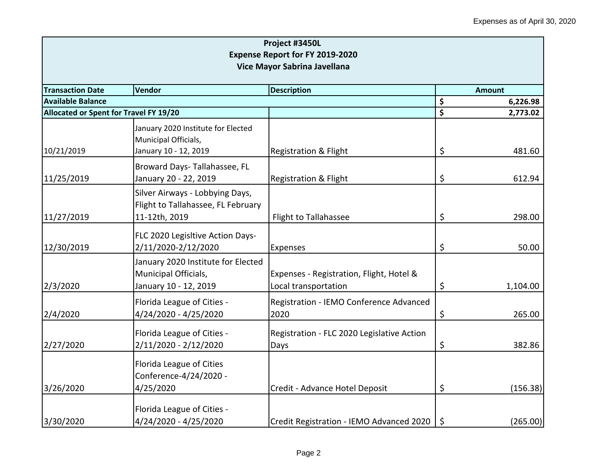| Project #3450L<br><b>Expense Report for FY 2019-2020</b><br>Vice Mayor Sabrina Javellana |                                                                                        |                                                                  |         |          |  |
|------------------------------------------------------------------------------------------|----------------------------------------------------------------------------------------|------------------------------------------------------------------|---------|----------|--|
| <b>Transaction Date</b>                                                                  | Vendor<br><b>Description</b>                                                           |                                                                  |         |          |  |
| <b>Available Balance</b>                                                                 |                                                                                        |                                                                  | \$      | 6,226.98 |  |
| Allocated or Spent for Travel FY 19/20                                                   |                                                                                        |                                                                  | \$      | 2,773.02 |  |
| 10/21/2019                                                                               | January 2020 Institute for Elected<br>Municipal Officials,<br>January 10 - 12, 2019    | <b>Registration &amp; Flight</b>                                 | \$      | 481.60   |  |
| 11/25/2019                                                                               | Broward Days-Tallahassee, FL<br>January 20 - 22, 2019                                  | <b>Registration &amp; Flight</b>                                 | \$      | 612.94   |  |
| 11/27/2019                                                                               | Silver Airways - Lobbying Days,<br>Flight to Tallahassee, FL February<br>11-12th, 2019 | Flight to Tallahassee                                            | \$      | 298.00   |  |
| 12/30/2019                                                                               | FLC 2020 Legisltive Action Days-<br>2/11/2020-2/12/2020                                | Expenses                                                         | \$      | 50.00    |  |
| 2/3/2020                                                                                 | January 2020 Institute for Elected<br>Municipal Officials,<br>January 10 - 12, 2019    | Expenses - Registration, Flight, Hotel &<br>Local transportation | \$      | 1,104.00 |  |
| 2/4/2020                                                                                 | Florida League of Cities -<br>4/24/2020 - 4/25/2020                                    | Registration - IEMO Conference Advanced<br>2020                  | \$      | 265.00   |  |
| 2/27/2020                                                                                | Florida League of Cities -<br>2/11/2020 - 2/12/2020                                    | Registration - FLC 2020 Legislative Action<br>Days               | \$      | 382.86   |  |
| 3/26/2020                                                                                | Florida League of Cities<br>Conference-4/24/2020 -<br>4/25/2020                        | Credit - Advance Hotel Deposit                                   | \$      | (156.38) |  |
| 3/30/2020                                                                                | Florida League of Cities -<br>4/24/2020 - 4/25/2020                                    | Credit Registration - IEMO Advanced 2020                         | $\zeta$ | (265.00) |  |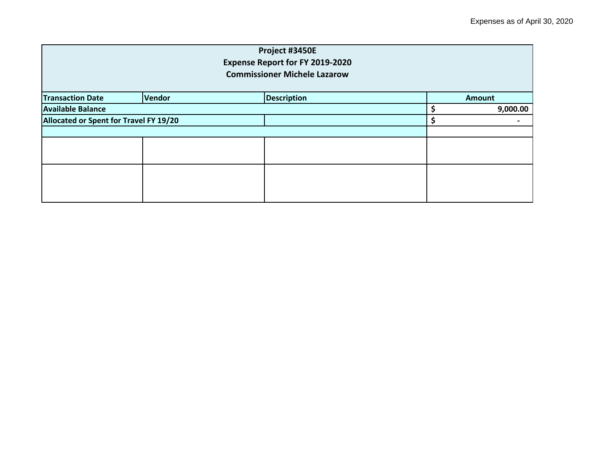| Project #3450E                         |                                     |                    |  |  |               |  |
|----------------------------------------|-------------------------------------|--------------------|--|--|---------------|--|
| <b>Expense Report for FY 2019-2020</b> |                                     |                    |  |  |               |  |
|                                        | <b>Commissioner Michele Lazarow</b> |                    |  |  |               |  |
| <b>Transaction Date</b>                | <b>Vendor</b>                       | <b>Description</b> |  |  | <b>Amount</b> |  |
|                                        |                                     |                    |  |  |               |  |
| <b>Available Balance</b>               |                                     |                    |  |  | 9,000.00      |  |
| Allocated or Spent for Travel FY 19/20 |                                     |                    |  |  |               |  |
|                                        |                                     |                    |  |  |               |  |
|                                        |                                     |                    |  |  |               |  |
|                                        |                                     |                    |  |  |               |  |
|                                        |                                     |                    |  |  |               |  |
|                                        |                                     |                    |  |  |               |  |
|                                        |                                     |                    |  |  |               |  |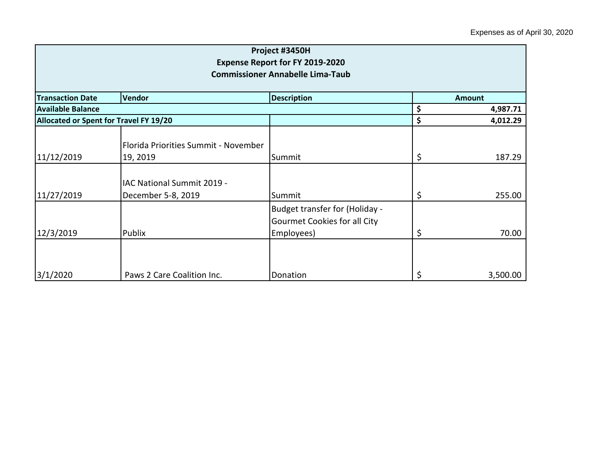| Project #3450H<br><b>Expense Report for FY 2019-2020</b><br><b>Commissioner Annabelle Lima-Taub</b> |                                                  |                                                                              |          |               |  |
|-----------------------------------------------------------------------------------------------------|--------------------------------------------------|------------------------------------------------------------------------------|----------|---------------|--|
| <b>Transaction Date</b>                                                                             | Vendor                                           | <b>Description</b>                                                           |          | <b>Amount</b> |  |
| <b>Available Balance</b>                                                                            |                                                  |                                                                              | \$       | 4,987.71      |  |
|                                                                                                     | Allocated or Spent for Travel FY 19/20<br>\$     |                                                                              | 4,012.29 |               |  |
| 11/12/2019                                                                                          | Florida Priorities Summit - November<br>19, 2019 | Summit                                                                       | \$       | 187.29        |  |
| 11/27/2019                                                                                          | IAC National Summit 2019 -<br>December 5-8, 2019 | Summit                                                                       | \$       | 255.00        |  |
| 12/3/2019                                                                                           | Publix                                           | Budget transfer for (Holiday -<br>Gourmet Cookies for all City<br>Employees) | \$       | 70.00         |  |
| 3/1/2020                                                                                            | Paws 2 Care Coalition Inc.                       | Donation                                                                     | \$       | 3,500.00      |  |